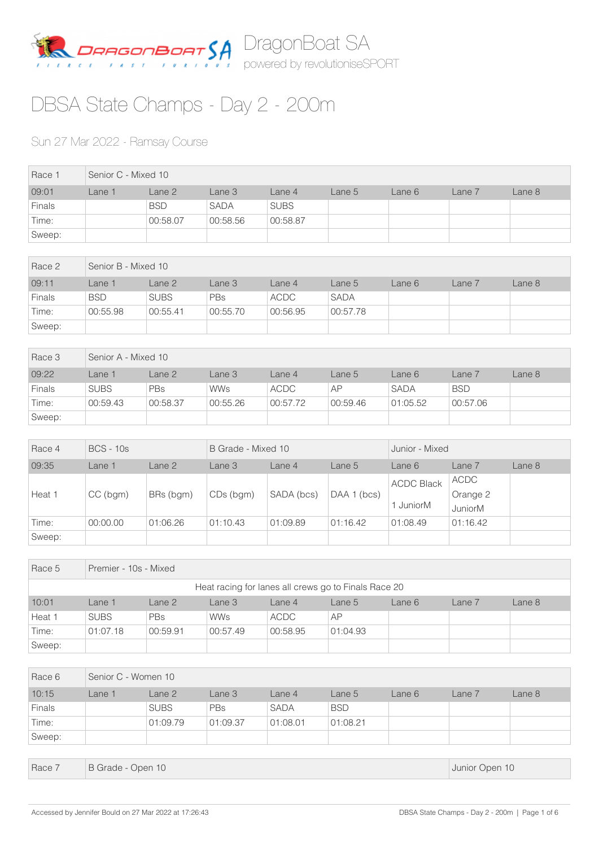

## DBSA State Champs - Day 2 - 200m

## Sun 27 Mar 2022 - Ramsay Course

| Race 1        | Senior C - Mixed 10 |            |             |             |        |        |        |        |  |
|---------------|---------------------|------------|-------------|-------------|--------|--------|--------|--------|--|
| 09:01         | Lane 1              | Lane 2     | Lane 3      | Lane 4      | Lane 5 | Lane 6 | Lane 7 | Lane 8 |  |
| <b>Finals</b> |                     | <b>BSD</b> | <b>SADA</b> | <b>SUBS</b> |        |        |        |        |  |
| Time:         |                     | 00:58.07   | 00:58.56    | 00:58.87    |        |        |        |        |  |
| Sweep:        |                     |            |             |             |        |        |        |        |  |

| Race 2        | Senior B - Mixed 10 |             |            |             |             |        |        |        |  |
|---------------|---------------------|-------------|------------|-------------|-------------|--------|--------|--------|--|
| 09:11         | Lane 1              | Lane 2      | Lane 3     | Lane 4      | Lane 5      | Lane 6 | Lane 7 | Lane 8 |  |
| <b>Finals</b> | <b>BSD</b>          | <b>SUBS</b> | <b>PBs</b> | <b>ACDC</b> | <b>SADA</b> |        |        |        |  |
| Time:         | 00:55.98            | 00:55.41    | 00:55.70   | 00:56.95    | 00:57.78    |        |        |        |  |
| Sweep:        |                     |             |            |             |             |        |        |        |  |

| Race 3        | Senior A - Mixed 10 |            |            |             |          |             |            |        |  |
|---------------|---------------------|------------|------------|-------------|----------|-------------|------------|--------|--|
| 09:22         | _ane 1              | Lane 2     | Lane 3     | Lane 4      | Lane 5   | Lane 6      | Lane 7     | Lane 8 |  |
| <b>Finals</b> | <b>SUBS</b>         | <b>PBs</b> | <b>WWs</b> | <b>ACDC</b> | AP       | <b>SADA</b> | <b>BSD</b> |        |  |
| Time:         | 00:59.43            | 00:58.37   | 00:55.26   | 00:57.72    | 00:59.46 | 01:05.52    | 00:57.06   |        |  |
| Sweep:        |                     |            |            |             |          |             |            |        |  |

| Race 4 | <b>BCS - 10s</b> |           | B Grade - Mixed 10 |            |             | Junior - Mixed               |                                    |        |
|--------|------------------|-----------|--------------------|------------|-------------|------------------------------|------------------------------------|--------|
| 09:35  | Lane 1           | Lane 2    | Lane 3             | Lane 4     | Lane 5      | Lane 6                       | Lane 7                             | Lane 8 |
| Heat 1 | $CC$ (bgm)       | BRs (bgm) | CDs (bgm)          | SADA (bcs) | DAA 1 (bcs) | <b>ACDC Black</b><br>JuniorM | <b>ACDC</b><br>Orange 2<br>JuniorM |        |
| Time:  | 00:00.00         | 01:06.26  | 01:10.43           | 01:09.89   | 01:16.42    | 01:08.49                     | 01:16.42                           |        |
| Sweep: |                  |           |                    |            |             |                              |                                    |        |

| Race 5                                               | Premier - 10s - Mixed |                                                                    |            |             |          |  |  |  |  |  |  |
|------------------------------------------------------|-----------------------|--------------------------------------------------------------------|------------|-------------|----------|--|--|--|--|--|--|
| Heat racing for lanes all crews go to Finals Race 20 |                       |                                                                    |            |             |          |  |  |  |  |  |  |
| 10:01                                                | Lane 1                | Lane 2<br>Lane 8<br>Lane 3<br>Lane 7<br>Lane 4<br>Lane 5<br>Lane 6 |            |             |          |  |  |  |  |  |  |
| Heat 1                                               | <b>SUBS</b>           | <b>PBs</b>                                                         | <b>WWs</b> | <b>ACDC</b> | AP       |  |  |  |  |  |  |
| Time:                                                | 01:07.18              | 00:59.91                                                           | 00:57.49   | 00:58.95    | 01:04.93 |  |  |  |  |  |  |
| Sweep:                                               |                       |                                                                    |            |             |          |  |  |  |  |  |  |

| Race 6 | Senior C - Women 10 |             |            |             |            |        |        |        |  |
|--------|---------------------|-------------|------------|-------------|------------|--------|--------|--------|--|
| 10:15  | Lane 1              | Lane 2      | Lane 3     | Lane 4      | Lane 5     | Lane 6 | Lane 7 | Lane 8 |  |
| Finals |                     | <b>SUBS</b> | <b>PBs</b> | <b>SADA</b> | <b>BSD</b> |        |        |        |  |
| Time:  |                     | 01:09.79    | 01:09.37   | 01:08.01    | 01:08.21   |        |        |        |  |
| Sweep: |                     |             |            |             |            |        |        |        |  |

```
Race 7 B Grade - Open 10 B Grade - Open 10
```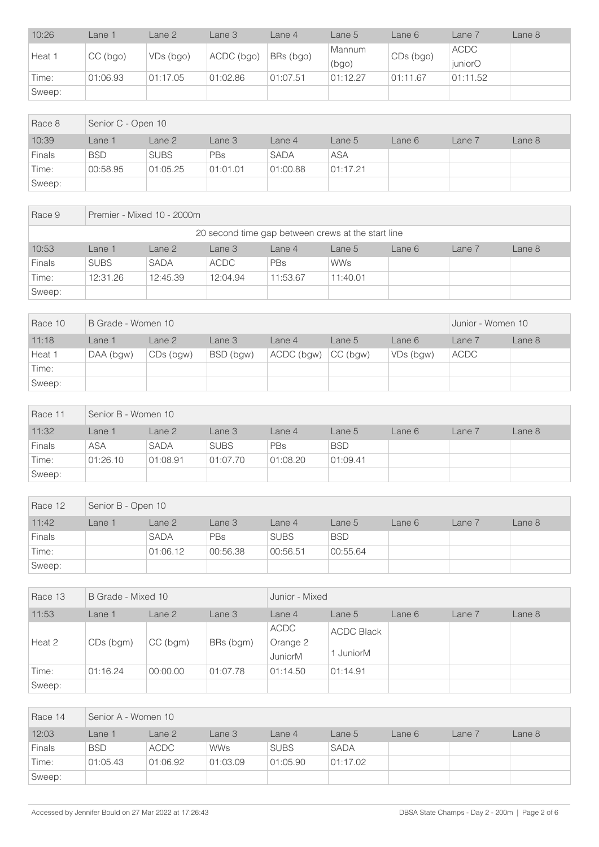| 10:26  | ane 1      | Lane 2    | Lane 3     | Lane 4    | Lane 5   | Lane 6    | Lane 7      | Lane 8 |
|--------|------------|-----------|------------|-----------|----------|-----------|-------------|--------|
| Heat 1 | $CC$ (bgo) | VDs (bgo) | ACDC (bgo) | BRs (bgo) | Mannum   | CDs (bgo) | <b>ACDC</b> |        |
|        |            |           |            |           | (bgo)    |           | juniorO     |        |
| Time:  | 01:06.93   | 01:17.05  | 01:02.86   | 01:07.51  | 01:12.27 | 01:11.67  | 01:11.52    |        |
| Sweep: |            |           |            |           |          |           |             |        |

| Race 8        | Senior C - Open 10 |             |            |             |            |        |        |        |  |
|---------------|--------------------|-------------|------------|-------------|------------|--------|--------|--------|--|
| 10:39         | Lane 1             | Lane 2      | Lane 3     | Lane 4      | Lane 5     | Lane 6 | Lane 7 | Lane 8 |  |
| <b>Finals</b> | <b>BSD</b>         | <b>SUBS</b> | <b>PBs</b> | <b>SADA</b> | <b>ASA</b> |        |        |        |  |
| Time:         | 00:58.95           | 01:05.25    | 01:01.01   | 01:00.88    | 01:17.21   |        |        |        |  |
| Sweep:        |                    |             |            |             |            |        |        |        |  |

| Race 9                                             | Premier - Mixed 10 - 2000m |                                                                        |             |          |            |  |  |  |  |  |  |
|----------------------------------------------------|----------------------------|------------------------------------------------------------------------|-------------|----------|------------|--|--|--|--|--|--|
| 20 second time gap between crews at the start line |                            |                                                                        |             |          |            |  |  |  |  |  |  |
| 10:53                                              | <sub>-</sub> ane 1         | Lane 2<br>Lane 8<br>Lane 3<br>Lane $7$<br>Lane $4$<br>Lane 6<br>Lane 5 |             |          |            |  |  |  |  |  |  |
| <b>Finals</b>                                      | <b>SUBS</b>                | <b>SADA</b>                                                            | <b>ACDC</b> | PBs      | <b>WWs</b> |  |  |  |  |  |  |
| Time:                                              | 12:31.26                   | 12:45.39                                                               | 12:04.94    | 11:53.67 | 11:40.01   |  |  |  |  |  |  |
| Sweep:                                             |                            |                                                                        |             |          |            |  |  |  |  |  |  |

| Race 10 | B Grade - Women 10 |           | Junior - Women 10 |            |            |           |             |        |
|---------|--------------------|-----------|-------------------|------------|------------|-----------|-------------|--------|
| 11:18   | Lane 1             | Lane 2    | Lane 3            | Lane 4     | Lane 5     | Lane 6    | Lane 7      | Lane 8 |
| Heat 1  | DAA (bgw)          | CDs (bgw) | BSD (bgw)         | ACDC (bgw) | $CC$ (bgw) | VDs (bgw) | <b>ACDC</b> |        |
| Time:   |                    |           |                   |            |            |           |             |        |
| Sweep:  |                    |           |                   |            |            |           |             |        |

| Race 11       | Senior B - Women 10                                                          |             |             |            |            |  |  |  |
|---------------|------------------------------------------------------------------------------|-------------|-------------|------------|------------|--|--|--|
| 11:32         | Lane 3<br>Lane 8<br>Lane 2<br>Lane 5<br>Lane 6<br>Lane 7<br>Lane 1<br>Lane 4 |             |             |            |            |  |  |  |
| <b>Finals</b> | <b>ASA</b>                                                                   | <b>SADA</b> | <b>SUBS</b> | <b>PBs</b> | <b>BSD</b> |  |  |  |
| Time:         | 01:26.10                                                                     | 01:08.91    | 01:07.70    | 01:08.20   | 01:09.41   |  |  |  |
| Sweep:        |                                                                              |             |             |            |            |  |  |  |

| Race 12 | Senior B - Open 10 |             |            |             |            |        |        |        |  |
|---------|--------------------|-------------|------------|-------------|------------|--------|--------|--------|--|
| 11:42   | Lane 1             | Lane 2      | Lane 3     | Lane 4      | Lane 5     | Lane 6 | Lane 7 | Lane 8 |  |
| Finals  |                    | <b>SADA</b> | <b>PBs</b> | <b>SUBS</b> | <b>BSD</b> |        |        |        |  |
| Time:   |                    | 01:06.12    | 00:56.38   | 00:56.51    | 00:55.64   |        |        |        |  |
| Sweep:  |                    |             |            |             |            |        |        |        |  |

| Race 13 | B Grade - Mixed 10 |            |           | Junior - Mixed                     |                                |        |        |        |  |  |  |
|---------|--------------------|------------|-----------|------------------------------------|--------------------------------|--------|--------|--------|--|--|--|
| 11:53   | Lane 1             | Lane 2     | Lane 3    | Lane 4                             | Lane 5                         | Lane 6 | Lane 7 | Lane 8 |  |  |  |
| Heat 2  | CDs (bgm)          | $CC$ (bgm) | BRs (bgm) | <b>ACDC</b><br>Orange 2<br>JuniorM | <b>ACDC Black</b><br>1 JuniorM |        |        |        |  |  |  |
| Time:   | 01:16.24           | 00:00.00   | 01:07.78  | 01:14.50                           | 01:14.91                       |        |        |        |  |  |  |
| Sweep:  |                    |            |           |                                    |                                |        |        |        |  |  |  |

| Race 14       | Senior A - Women 10 |             |            |             |             |        |        |        |  |
|---------------|---------------------|-------------|------------|-------------|-------------|--------|--------|--------|--|
| 12:03         | Lane 1              | Lane 2      | Lane 3     | Lane 4      | Lane 5      | Lane 6 | Lane 7 | Lane 8 |  |
| <b>Finals</b> | <b>BSD</b>          | <b>ACDC</b> | <b>WWs</b> | <b>SUBS</b> | <b>SADA</b> |        |        |        |  |
| Time:         | 01:05.43            | 01:06.92    | 01:03.09   | 01:05.90    | 01:17.02    |        |        |        |  |
| Sweep:        |                     |             |            |             |             |        |        |        |  |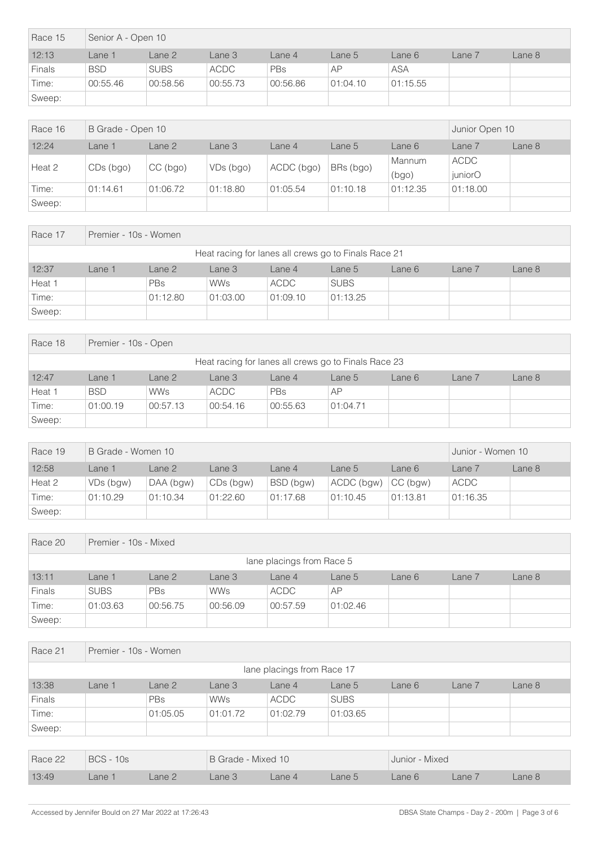| Race 15       | Senior A - Open 10 |             |             |          |           |            |        |        |
|---------------|--------------------|-------------|-------------|----------|-----------|------------|--------|--------|
| 12:13         | Lane 1             | Lane 2      | Lane 3      | Lane 4   | Lane 5    | Lane 6     | Lane 7 | Lane 8 |
| <b>Finals</b> | <b>BSD</b>         | <b>SUBS</b> | <b>ACDC</b> | PBs      | <b>AP</b> | <b>ASA</b> |        |        |
| Time:         | 00:55.46           | 00:58.56    | 00:55.73    | 00:56.86 | 01:04.10  | 01:15.55   |        |        |
| Sweep:        |                    |             |             |          |           |            |        |        |

| Race 16 | B Grade - Open 10 |            | Junior Open 10 |            |           |                 |                        |        |
|---------|-------------------|------------|----------------|------------|-----------|-----------------|------------------------|--------|
| 12:24   | Lane 1            | Lane 2     | Lane 3         | Lane 4     | Lane 5    | Lane 6          | Lane 7                 | Lane 8 |
| Heat 2  | $CDs$ (bgo)       | $CC$ (bgo) | VDs (bgo)      | ACDC (bgo) | BRs (bgo) | Mannum<br>(bgo) | <b>ACDC</b><br>juniorO |        |
| Time:   | 01:14.61          | 01:06.72   | 01:18.80       | 01:05.54   | 01:10.18  | 01:12.35        | 01:18.00               |        |
| Sweep:  |                   |            |                |            |           |                 |                        |        |

| Race 17                                              | Premier - 10s - Women |            |            |             |             |        |        |        |  |  |
|------------------------------------------------------|-----------------------|------------|------------|-------------|-------------|--------|--------|--------|--|--|
| Heat racing for lanes all crews go to Finals Race 21 |                       |            |            |             |             |        |        |        |  |  |
| 12:37                                                | Lane 1                | Lane 2     | Lane 3     | Lane 4      | Lane 5      | Lane 6 | Lane 7 | Lane 8 |  |  |
| Heat 1                                               |                       | <b>PBs</b> | <b>WWs</b> | <b>ACDC</b> | <b>SUBS</b> |        |        |        |  |  |
| Time:                                                |                       | 01:12.80   | 01:03.00   | 01:09.10    | 01:13.25    |        |        |        |  |  |
| Sweep:                                               |                       |            |            |             |             |        |        |        |  |  |

| Race 18                                              | Premier - 10s - Open |                                                                      |             |          |          |  |  |  |  |  |  |
|------------------------------------------------------|----------------------|----------------------------------------------------------------------|-------------|----------|----------|--|--|--|--|--|--|
| Heat racing for lanes all crews go to Finals Race 23 |                      |                                                                      |             |          |          |  |  |  |  |  |  |
| 12:47                                                | Lane 1               | Lane 2<br>Lane 3<br>Lane 6<br>Lane 8<br>Lane 5<br>Lane 7<br>Lane $4$ |             |          |          |  |  |  |  |  |  |
| Heat 1                                               | <b>BSD</b>           | <b>WWs</b>                                                           | <b>ACDC</b> | PBs      | AP       |  |  |  |  |  |  |
| Time:                                                | 01:00.19             | 00:57.13                                                             | 00:54.16    | 00:55.63 | 01:04.71 |  |  |  |  |  |  |
| Sweep:                                               |                      |                                                                      |             |          |          |  |  |  |  |  |  |

| Race 19 | B Grade - Women 10 |           | Junior - Women 10 |           |            |            |             |        |
|---------|--------------------|-----------|-------------------|-----------|------------|------------|-------------|--------|
| 12:58   | ane 1              | Lane 2    | Lane 3            | Lane 4    | Lane 5     | Lane 6     | Lane 7      | Lane 8 |
| Heat 2  | VDs (bgw)          | DAA (bgw) | CDs (bgw)         | BSD (bgw) | ACDC (bgw) | $CC$ (bgw) | <b>ACDC</b> |        |
| Time:   | 01:10.29           | 01:10.34  | 01:22.60          | 01:17.68  | 01:10.45   | 01:13.81   | 01:16.35    |        |
| Sweep:  |                    |           |                   |           |            |            |             |        |

| Race 20                   | Premier - 10s - Mixed |          |            |             |          |        |        |        |  |  |
|---------------------------|-----------------------|----------|------------|-------------|----------|--------|--------|--------|--|--|
| lane placings from Race 5 |                       |          |            |             |          |        |        |        |  |  |
| 13:11                     | Lane 1                | Lane 2   | Lane 3     | Lane 4      | Lane 5   | Lane 6 | Lane 7 | Lane 8 |  |  |
| <b>Finals</b>             | <b>SUBS</b>           | PBs      | <b>WWs</b> | <b>ACDC</b> | AP       |        |        |        |  |  |
| Time:                     | 01:03.63              | 00:56.75 | 00:56.09   | 00:57.59    | 01:02.46 |        |        |        |  |  |
| Sweep:                    |                       |          |            |             |          |        |        |        |  |  |

| Race 21                    | Premier - 10s - Women |          |            |             |             |        |        |        |  |
|----------------------------|-----------------------|----------|------------|-------------|-------------|--------|--------|--------|--|
| lane placings from Race 17 |                       |          |            |             |             |        |        |        |  |
| 13:38                      | Lane 1                | Lane 2   | Lane 3     | Lane 4      | Lane 5      | Lane 6 | Lane 7 | Lane 8 |  |
| Finals                     |                       | PBs      | <b>WWs</b> | <b>ACDC</b> | <b>SUBS</b> |        |        |        |  |
| Time:                      |                       | 01:05.05 | 01:01.72   | 01:02.79    | 01:03.65    |        |        |        |  |
| Sweep:                     |                       |          |            |             |             |        |        |        |  |

| Race 22 | <b>BCS - 10s</b> |        | B Grade - Mixed 10 |       |        | Junior - Mixed |        |        |
|---------|------------------|--------|--------------------|-------|--------|----------------|--------|--------|
| 13:49   | ane 1            | Lane 2 | ane 3.             | ane 4 | _ane 5 | -ane 6         | Lane 7 | Lane 8 |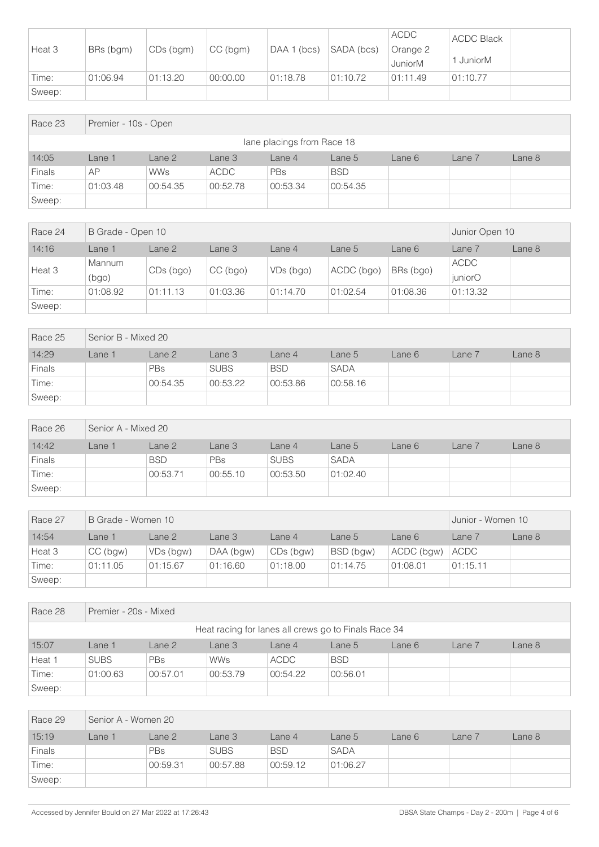|        |           |           |            |             |            | <b>ACDC</b> | <b>ACDC Black</b> |  |
|--------|-----------|-----------|------------|-------------|------------|-------------|-------------------|--|
| Heat 3 | BRs (bgm) | CDs (bgm) | $CC$ (bgm) | DAA 1 (bcs) | SADA (bcs) | Orange 2    |                   |  |
|        |           |           |            |             |            | JuniorM     | 1 JuniorM         |  |
| Time:  | 01:06.94  | 01:13.20  | 00:00.00   | 01:18.78    | 01:10.72   | 01:11.49    | 01:10.77          |  |
| Sweep: |           |           |            |             |            |             |                   |  |

| Race 23                    | Premier - 10s - Open |            |             |          |            |        |        |        |  |  |
|----------------------------|----------------------|------------|-------------|----------|------------|--------|--------|--------|--|--|
| lane placings from Race 18 |                      |            |             |          |            |        |        |        |  |  |
| 14:05                      | Lane 1               | Lane 2     | Lane 3      | Lane 4   | Lane 5     | Lane 6 | Lane 7 | Lane 8 |  |  |
| Finals                     | AP                   | <b>WWs</b> | <b>ACDC</b> | PBs      | <b>BSD</b> |        |        |        |  |  |
| Time:                      | 01:03.48             | 00:54.35   | 00:52.78    | 00:53.34 | 00:54.35   |        |        |        |  |  |
| Sweep:                     |                      |            |             |          |            |        |        |        |  |  |

| Race 24 | B Grade - Open 10 |           |            | Junior Open 10 |            |           |                        |        |
|---------|-------------------|-----------|------------|----------------|------------|-----------|------------------------|--------|
| 14:16   | Lane 1            | Lane 2    | Lane 3     | Lane 4         | Lane 5     | Lane 6    | Lane 7                 | Lane 8 |
| Heat 3  | Mannum<br>(bgo)   | CDs (bgo) | $CC$ (bgo) | VDs (bgo)      | ACDC (bgo) | BRs (bgo) | <b>ACDC</b><br>juniorO |        |
| Time:   | 01:08.92          | 01:11.13  | 01:03.36   | 01:14.70       | 01:02.54   | 01:08.36  | 01:13.32               |        |
| Sweep:  |                   |           |            |                |            |           |                        |        |

| Race 25       | Senior B - Mixed 20 |            |             |            |             |        |        |        |  |  |
|---------------|---------------------|------------|-------------|------------|-------------|--------|--------|--------|--|--|
| 14:29         | Lane 1              | Lane 2     | Lane 3      | Lane 4     | Lane 5      | Lane 6 | Lane 7 | Lane 8 |  |  |
| <b>Finals</b> |                     | <b>PBs</b> | <b>SUBS</b> | <b>BSD</b> | <b>SADA</b> |        |        |        |  |  |
| Time:         |                     | 00:54.35   | 00:53.22    | 00:53.86   | 00:58.16    |        |        |        |  |  |
| Sweep:        |                     |            |             |            |             |        |        |        |  |  |

| Race 26       | Senior A - Mixed 20 |            |            |             |             |        |        |        |  |
|---------------|---------------------|------------|------------|-------------|-------------|--------|--------|--------|--|
| 14:42         | Lane 1              | Lane 2     | Lane 3     | Lane 4      | Lane 5      | Lane 6 | Lane 7 | Lane 8 |  |
| <b>Finals</b> |                     | <b>BSD</b> | <b>PBs</b> | <b>SUBS</b> | <b>SADA</b> |        |        |        |  |
| Time:         |                     | 00:53.71   | 00:55.10   | 00:53.50    | 01:02.40    |        |        |        |  |
| Sweep:        |                     |            |            |             |             |        |        |        |  |

| Race 27 | B Grade - Women 10 |           | Junior - Women 10 |           |           |            |          |        |
|---------|--------------------|-----------|-------------------|-----------|-----------|------------|----------|--------|
| 14:54   | _ane 1             | Lane 2    | Lane 3            | Lane $4$  | Lane 5    | Lane 6     | Lane 7   | Lane 8 |
| Heat 3  | $CC$ (bgw)         | VDs (bgw) | DAA (bgw)         | CDs (bgw) | BSD (bgw) | ACDC (bgw) | ACDC     |        |
| Time:   | 01:11.05           | 01:15.67  | 01:16.60          | 01:18.00  | 01:14.75  | 01:08.01   | 01:15.11 |        |
| Sweep:  |                    |           |                   |           |           |            |          |        |

| Race 28 | Premier - 20s - Mixed                                |                                                                    |            |             |            |  |  |  |  |  |  |
|---------|------------------------------------------------------|--------------------------------------------------------------------|------------|-------------|------------|--|--|--|--|--|--|
|         | Heat racing for lanes all crews go to Finals Race 34 |                                                                    |            |             |            |  |  |  |  |  |  |
| 15:07   | Lane 1                                               | Lane 2<br>Lane 8<br>Lane 3<br>Lane 7<br>Lane 5<br>Lane 6<br>Lane 4 |            |             |            |  |  |  |  |  |  |
| Heat 1  | <b>SUBS</b>                                          | <b>PBs</b>                                                         | <b>WWs</b> | <b>ACDC</b> | <b>BSD</b> |  |  |  |  |  |  |
| Time:   | 01:00.63                                             | 00:57.01                                                           | 00:53.79   | 00:54.22    | 00:56.01   |  |  |  |  |  |  |
| Sweep:  |                                                      |                                                                    |            |             |            |  |  |  |  |  |  |

| Race 29       | Senior A - Women 20 |            |             |            |             |        |        |        |  |
|---------------|---------------------|------------|-------------|------------|-------------|--------|--------|--------|--|
| 15:19         | Lane 1              | Lane 2     | Lane 3      | Lane 4     | Lane 5      | Lane 6 | Lane 7 | Lane 8 |  |
| <b>Finals</b> |                     | <b>PBs</b> | <b>SUBS</b> | <b>BSD</b> | <b>SADA</b> |        |        |        |  |
| Time:         |                     | 00:59.31   | 00:57.88    | 00:59.12   | 01:06.27    |        |        |        |  |
| Sweep:        |                     |            |             |            |             |        |        |        |  |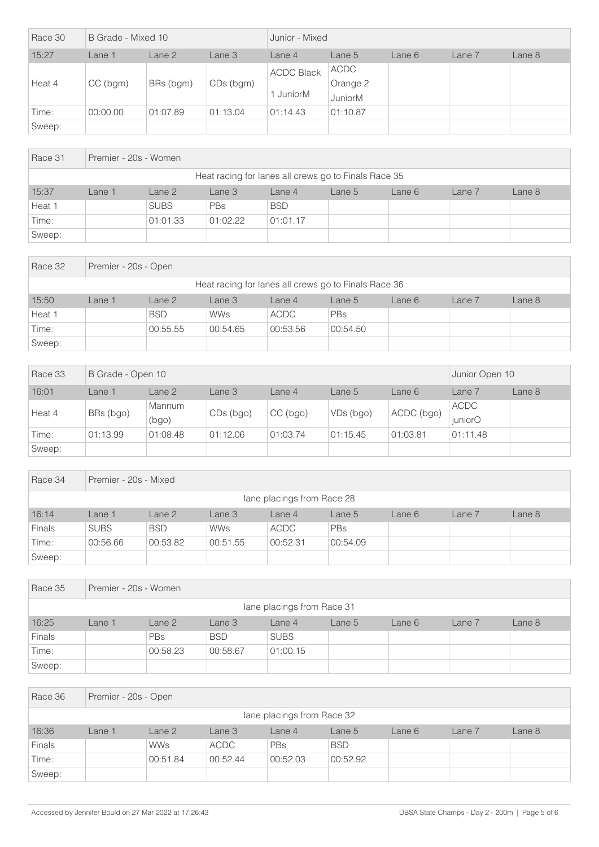| Race 30 | B Grade - Mixed 10 |           |             | Junior - Mixed               |                                    |        |        |        |
|---------|--------------------|-----------|-------------|------------------------------|------------------------------------|--------|--------|--------|
| 15:27   | Lane 1             | Lane 2    | Lane 3      | Lane 4                       | Lane 5                             | Lane 6 | Lane 7 | Lane 8 |
| Heat 4  | $CC$ (bgm)         | BRs (bgm) | $CDs$ (bgm) | <b>ACDC Black</b><br>JuniorM | <b>ACDC</b><br>Orange 2<br>JuniorM |        |        |        |
| Time:   | 00:00.00           | 01:07.89  | 01:13.04    | 01:14.43                     | 01:10.87                           |        |        |        |
| Sweep:  |                    |           |             |                              |                                    |        |        |        |

| Race 31                                              | Premier - 20s - Women |             |            |            |        |        |        |        |  |  |
|------------------------------------------------------|-----------------------|-------------|------------|------------|--------|--------|--------|--------|--|--|
| Heat racing for lanes all crews go to Finals Race 35 |                       |             |            |            |        |        |        |        |  |  |
| 15:37                                                | Lane 1                | Lane 2      | Lane 3     | Lane $4$   | Lane 5 | Lane 6 | Lane 7 | Lane 8 |  |  |
| Heat 1                                               |                       | <b>SUBS</b> | <b>PBs</b> | <b>BSD</b> |        |        |        |        |  |  |
| Time:                                                |                       | 01:01.33    | 01:02.22   | 01:01.17   |        |        |        |        |  |  |
| Sweep:                                               |                       |             |            |            |        |        |        |        |  |  |

| Race 32                                              | Premier - 20s - Open |                                                                      |            |             |          |  |  |  |  |  |  |
|------------------------------------------------------|----------------------|----------------------------------------------------------------------|------------|-------------|----------|--|--|--|--|--|--|
| Heat racing for lanes all crews go to Finals Race 36 |                      |                                                                      |            |             |          |  |  |  |  |  |  |
| 15:50                                                | Lane 1               | Lane 8<br>Lane 2<br>Lane 3<br>Lane $4$<br>Lane 5<br>Lane 6<br>Lane 7 |            |             |          |  |  |  |  |  |  |
| Heat 1                                               |                      | <b>BSD</b>                                                           | <b>WWs</b> | <b>ACDC</b> | PBs      |  |  |  |  |  |  |
| Time:                                                |                      | 00:55.55                                                             | 00:54.65   | 00:53.56    | 00:54.50 |  |  |  |  |  |  |
| Sweep:                                               |                      |                                                                      |            |             |          |  |  |  |  |  |  |

| Race 33 | B Grade - Open 10 |                 |             | Junior Open 10 |           |            |                        |        |
|---------|-------------------|-----------------|-------------|----------------|-----------|------------|------------------------|--------|
| 16:01   | Lane 1            | Lane 2          | Lane 3      | Lane 4         | Lane 5    | Lane 6     | Lane 7                 | Lane 8 |
| Heat 4  | BRs (bgo)         | Mannum<br>(bgo) | $CDs$ (bgo) | $CC$ (bgo)     | VDs (bgo) | ACDC (bgo) | <b>ACDC</b><br>juniorO |        |
| Time:   | 01:13.99          | 01:08.48        | 01:12.06    | 01:03.74       | 01:15.45  | 01:03.81   | 01:11.48               |        |
| Sweep:  |                   |                 |             |                |           |            |                        |        |

| Race 34                    | Premier - 20s - Mixed |            |            |             |          |        |        |        |  |  |
|----------------------------|-----------------------|------------|------------|-------------|----------|--------|--------|--------|--|--|
| lane placings from Race 28 |                       |            |            |             |          |        |        |        |  |  |
| 16:14                      | Lane 1                | Lane 2     | Lane 3     | Lane 4      | Lane 5   | Lane 6 | Lane 7 | Lane 8 |  |  |
| <b>Finals</b>              | <b>SUBS</b>           | <b>BSD</b> | <b>WWs</b> | <b>ACDC</b> | PBs      |        |        |        |  |  |
| Time:                      | 00:56.66              | 00:53.82   | 00:51.55   | 00:52.31    | 00:54.09 |        |        |        |  |  |
| Sweep:                     |                       |            |            |             |          |        |        |        |  |  |

| Race 35                    | Premier - 20s - Women |          |            |             |        |        |        |        |  |  |
|----------------------------|-----------------------|----------|------------|-------------|--------|--------|--------|--------|--|--|
| lane placings from Race 31 |                       |          |            |             |        |        |        |        |  |  |
| 16:25                      | Lane 1                | Lane 2   | Lane 3     | Lane 4      | Lane 5 | Lane 6 | Lane 7 | Lane 8 |  |  |
| Finals                     |                       | PBs      | <b>BSD</b> | <b>SUBS</b> |        |        |        |        |  |  |
| Time:                      |                       | 00:58.23 | 00:58.67   | 01:00.15    |        |        |        |        |  |  |
| Sweep:                     |                       |          |            |             |        |        |        |        |  |  |

| Race 36                    | Premier - 20s - Open |            |             |          |            |        |        |        |  |
|----------------------------|----------------------|------------|-------------|----------|------------|--------|--------|--------|--|
| lane placings from Race 32 |                      |            |             |          |            |        |        |        |  |
| 16:36                      | Lane 1               | Lane 2     | Lane 3      | Lane 4   | Lane 5     | Lane 6 | Lane 7 | Lane 8 |  |
| <b>Finals</b>              |                      | <b>WWs</b> | <b>ACDC</b> | PBs      | <b>BSD</b> |        |        |        |  |
| Time:                      |                      | 00:51.84   | 00:52.44    | 00:52.03 | 00:52.92   |        |        |        |  |
| Sweep:                     |                      |            |             |          |            |        |        |        |  |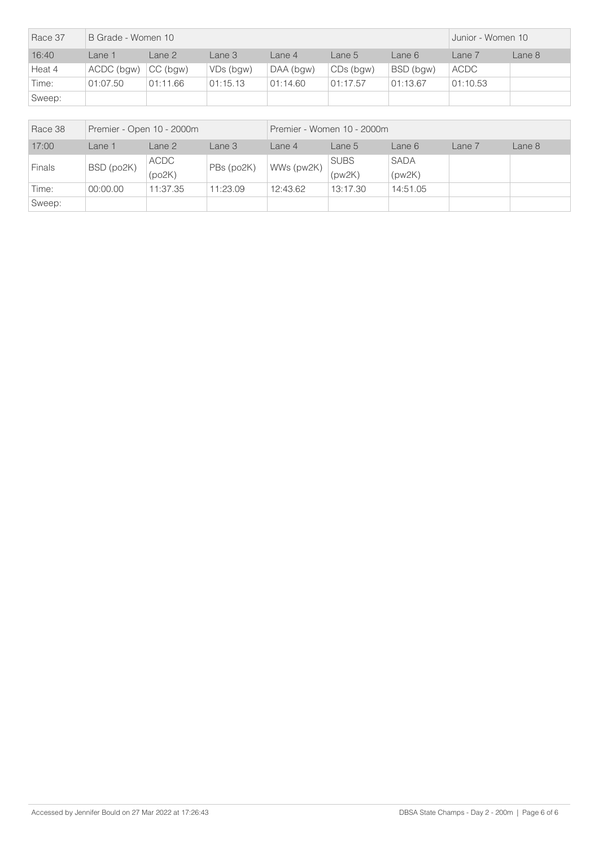| Race 37 | B Grade - Women 10 |            |           |           |           |           | Junior - Women 10 |        |
|---------|--------------------|------------|-----------|-----------|-----------|-----------|-------------------|--------|
| 16:40   | Lane 1             | Lane 2     | Lane 3    | Lane 4    | Lane 5    | Lane 6    | Lane 7            | Lane 8 |
| Heat 4  | ACDC (bgw)         | $CC$ (bgw) | VDs (bgw) | DAA (bgw) | CDs (bgw) | BSD (bgw) | <b>ACDC</b>       |        |
| Time:   | 01:07.50           | 01:11.66   | 01:15.13  | 01:14.60  | 01:17.57  | 01:13.67  | 01:10.53          |        |
| Sweep:  |                    |            |           |           |           |           |                   |        |

| Race 38       | Premier - Open 10 - 2000m |                       |            | Premier - Women 10 - 2000m |                       |                       |        |        |  |
|---------------|---------------------------|-----------------------|------------|----------------------------|-----------------------|-----------------------|--------|--------|--|
| 17:00         | Lane 1                    | Lane 2<br>Lane 3      |            | Lane 4                     | Lane 5                | Lane 6                | Lane 7 | Lane 8 |  |
| <b>Finals</b> | BSD (po2K)                | <b>ACDC</b><br>(po2K) | PBs (po2K) | WWs (pw2K)                 | <b>SUBS</b><br>(pw2K) | <b>SADA</b><br>(pw2K) |        |        |  |
| Time:         | 00:00.00                  | 11:37.35              | 11:23.09   | 12:43.62                   | 13:17.30              | 14:51.05              |        |        |  |
| Sweep:        |                           |                       |            |                            |                       |                       |        |        |  |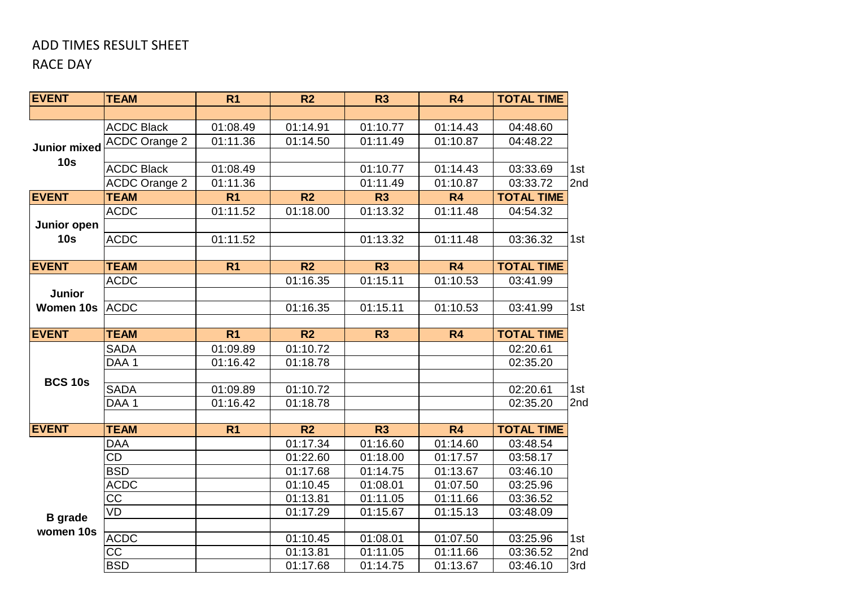## ADD TIMES RESULT SHEET

RACE DAY

| <b>EVENT</b>        | <b>TEAM</b>            | R <sub>1</sub>  | R <sub>2</sub>        | R <sub>3</sub> | R <sub>4</sub> | <b>TOTAL TIME</b> |     |
|---------------------|------------------------|-----------------|-----------------------|----------------|----------------|-------------------|-----|
|                     |                        |                 |                       |                |                |                   |     |
|                     | <b>ACDC Black</b>      | 01:08.49        | 01:14.91              | 01:10.77       | 01:14.43       | 04:48.60          |     |
| <b>Junior mixed</b> | <b>ACDC Orange 2</b>   | 01:11.36        | 01:14.50              | 01:11.49       | 01:10.87       | 04:48.22          |     |
| 10 <sub>s</sub>     |                        |                 |                       |                |                |                   |     |
|                     | <b>ACDC Black</b>      | 01:08.49        |                       | 01:10.77       | 01:14.43       | 03:33.69          | 1st |
|                     | <b>ACDC Orange 2</b>   | 01:11.36        |                       | 01:11.49       | 01:10.87       | 03:33.72          | 2nd |
| <b>EVENT</b>        | <b>TEAM</b>            | R <sub>1</sub>  | R <sub>2</sub>        | R <sub>3</sub> | R4             | <b>TOTAL TIME</b> |     |
|                     | <b>ACDC</b>            | 01:11.52        | 01:18.00              | 01:13.32       | 01:11.48       | 04:54.32          |     |
| Junior open         |                        |                 |                       |                |                |                   |     |
| 10 <sub>s</sub>     | <b>ACDC</b>            | 01:11.52        |                       | 01:13.32       | 01:11.48       | 03:36.32          | 1st |
|                     |                        |                 |                       |                |                |                   |     |
| <b>EVENT</b>        | <b>TEAM</b>            | R <sub>1</sub>  | R <sub>2</sub>        | R <sub>3</sub> | <b>R4</b>      | <b>TOTAL TIME</b> |     |
|                     | <b>ACDC</b>            |                 | 01:16.35              | 01:15.11       | 01:10.53       | 03:41.99          |     |
| <b>Junior</b>       |                        |                 |                       |                |                |                   |     |
| Women 10s           | <b>ACDC</b>            |                 | 01:16.35              | 01:15.11       | 01:10.53       | 03:41.99          | 1st |
|                     |                        |                 |                       |                |                |                   |     |
| <b>EVENT</b>        | <b>TEAM</b>            | $\overline{R1}$ | R <sub>2</sub>        | R <sub>3</sub> | R <sub>4</sub> | <b>TOTAL TIME</b> |     |
|                     | <b>SADA</b>            | 01:09.89        | 01:10.72              |                |                | 02:20.61          |     |
|                     | DAA 1                  | 01:16.42        | 01:18.78              |                |                | 02:35.20          |     |
| <b>BCS 10s</b>      |                        |                 |                       |                |                |                   |     |
|                     | <b>SADA</b>            | 01:09.89        | 01:10.72              |                |                | 02:20.61          | 1st |
|                     | DAA <sub>1</sub>       | 01:16.42        | 01:18.78              |                |                | 02:35.20          | 2nd |
|                     |                        |                 |                       |                |                |                   |     |
| <b>EVENT</b>        | <b>TEAM</b>            | R <sub>1</sub>  | $\overline{R2}$       | R <sub>3</sub> | R <sub>4</sub> | <b>TOTAL TIME</b> |     |
|                     | <b>DAA</b>             |                 | 01:17.34              | 01:16.60       | 01:14.60       | 03:48.54          |     |
|                     | <b>CD</b>              |                 | 01:22.60              | 01:18.00       | 01:17.57       | 03:58.17          |     |
|                     | <b>BSD</b>             |                 | 01:17.68              | 01:14.75       | 01:13.67       | 03:46.10          |     |
|                     | <b>ACDC</b>            |                 | 01:10.45              | 01:08.01       | 01:07.50       | 03:25.96          |     |
|                     | cc                     |                 | 01:13.81              | 01:11.05       | 01:11.66       | 03:36.52          |     |
| <b>B</b> grade      | VD                     |                 | 01:17.29              | 01:15.67       | 01:15.13       | 03:48.09          |     |
| women 10s           |                        |                 |                       |                |                |                   |     |
|                     | <b>ACDC</b>            |                 | $\overline{0}1:10.45$ | 01:08.01       | 01:07.50       | 03:25.96          | 1st |
|                     | $\overline{\text{cc}}$ |                 | 01:13.81              | 01:11.05       | 01:11.66       | 03:36.52          | 2nd |
|                     | <b>BSD</b>             |                 | 01:17.68              | 01:14.75       | 01:13.67       | 03:46.10          | 3rd |